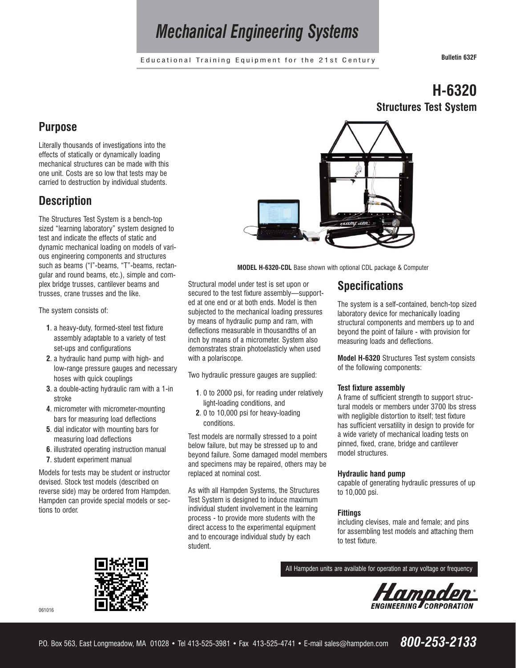# *Mechanical Engineering Systems*

Educational Training Equipment for the 21st Century **Bulletin 632F**

**H-6320**

**Structures Test System**

## **Purpose**

Literally thousands of investigations into the effects of statically or dynamically loading mechanical structures can be made with this one unit. Costs are so low that tests may be carried to destruction by individual students.

### **Description**

The Structures Test System is a bench-top sized "learning laboratory" system designed to test and indicate the effects of static and dynamic mechanical loading on models of various engineering components and structures such as beams ("I"-beams, "T"-beams, rectangular and round beams, etc.), simple and complex bridge trusses, cantilever beams and trusses, crane trusses and the like.

The system consists of:

- **1**. a heavy-duty, formed-steel test fixture assembly adaptable to a variety of test set-ups and configurations
- **2**. a hydraulic hand pump with high- and low-range pressure gauges and necessary hoses with quick couplings
- **3**. a double-acting hydraulic ram with a 1-in stroke
- **4**. micrometer with micrometer-mounting bars for measuring load deflections
- **5**. dial indicator with mounting bars for measuring load deflections
- **6**. illustrated operating instruction manual
- **7**. student experiment manual

Models for tests may be student or instructor devised. Stock test models (described on reverse side) may be ordered from Hampden. Hampden can provide special models or sections to order.



**MODEL H-6320-CDL** Base shown with optional CDL package & Computer

Structural model under test is set upon or secured to the test fixture assembly—supported at one end or at both ends. Model is then subjected to the mechanical loading pressures by means of hydraulic pump and ram, with deflections measurable in thousandths of an inch by means of a micrometer. System also demonstrates strain photoelasticly when used with a polariscope.

Two hydraulic pressure gauges are supplied:

- **1**. 0 to 2000 psi, for reading under relatively light-loading conditions, and
- **2**. 0 to 10,000 psi for heavy-loading conditions.

Test models are normally stressed to a point below failure, but may be stressed up to and beyond failure. Some damaged model members and specimens may be repaired, others may be replaced at nominal cost.

As with all Hampden Systems, the Structures Test System is designed to induce maximum individual student involvement in the learning process - to provide more students with the direct access to the experimental equipment and to encourage individual study by each student.

# **Specifications**

The system is a self-contained, bench-top sized laboratory device for mechanically loading structural components and members up to and beyond the point of failure - with provision for measuring loads and deflections.

**Model H-6320** Structures Test system consists of the following components:

#### **Test fixture assembly**

A frame of sufficient strength to support structural models or members under 3700 lbs stress with negligible distortion to itself; test fixture has sufficient versatility in design to provide for a wide variety of mechanical loading tests on pinned, fixed, crane, bridge and cantilever model structures.

#### **Hydraulic hand pump**

capable of generating hydraulic pressures of up to 10,000 psi.

#### **Fittings**

including clevises, male and female; and pins for assembling test models and attaching them to test fixture.

All Hampden units are available for operation at any voltage or frequency



061016



P.O. Box 563, East Longmeadow, MA 01028 • Tel 413-525-3981 • Fax 413-525-4741 • E-mail sales@hampden.com *800-253-2133*